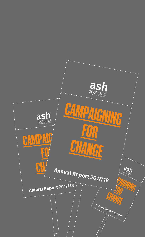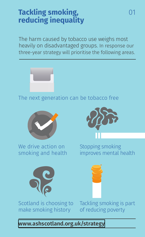#### **Tackling smoking, reducing inequality**

The harm caused by tobacco use weighs most heavily on disadvantaged groups. In response our three-year strategy will prioritise the following areas.



The next generation can be tobacco free



We drive action on smoking and health



Stopping smoking improves mental health



Scotland is choosing to make smoking history

Tackling smoking is part of reducing poverty

#### **[www.ashscotland.org.uk/strategy](https://www.ashscotland.org.uk/about-us/our-organisational-strategy-2018-to-2021/)**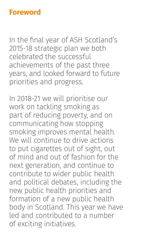#### **Foreword**

In the final year of ASH Scotland's 2015-18 strategic plan we both celebrated the successful achievements of the past three years, and looked forward to future priorities and progress.

In 2018-21 we will prioritise our work on tackling smoking as part of reducing poverty, and on communicating how stopping smoking improves mental health. We will continue to drive actions to put cigarettes out of sight, out of mind and out of fashion for the next generation, and continue to contribute to wider public health and political debates, including the new public health priorities and formation of a new public health body in Scotland. This year we have led and contributed to a number of exciting initiatives.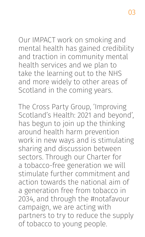Our IMPACT work on smoking and mental health has gained credibility and traction in community mental health services and we plan to take the learning out to the NHS and more widely to other areas of Scotland in the coming years.

The Cross Party Group, 'Improving Scotland's Health: 2021 and beyond', has begun to join up the thinking around health harm prevention work in new ways and is stimulating sharing and discussion between sectors. Through our Charter for a tobacco-free generation we will stimulate further commitment and action towards the national aim of a generation free from tobacco in 2034, and through the #notafavour campaign, we are acting with partners to try to reduce the supply of tobacco to young people.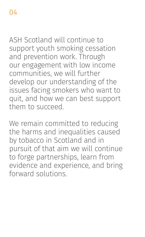ASH Scotland will continue to support youth smoking cessation and prevention work. Through our engagement with low income communities, we will further develop our understanding of the issues facing smokers who want to quit, and how we can best support them to succeed.

We remain committed to reducing the harms and inequalities caused by tobacco in Scotland and in pursuit of that aim we will continue to forge partnerships, learn from evidence and experience, and bring forward solutions.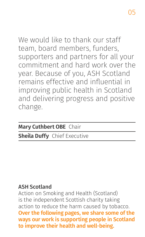We would like to thank our staff team, board members, funders, supporters and partners for all your commitment and hard work over the year. Because of you, ASH Scotland remains effective and influential in improving public health in Scotland and delivering progress and positive change.

#### **Mary Cuthbert OBE** Chair

#### **Sheila Duffy** Chief Executive

#### ASH Scotland

Action on Smoking and Health (Scotland) is the independent Scottish charity taking action to reduce the harm caused by tobacco. Over the following pages, we share some of the ways our work is supporting people in Scotland to improve their health and well-being.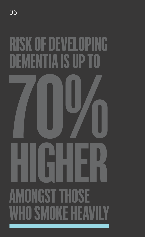# HIGHER RISK OF DEVELOPING DEMENTIA IS UP TO 70% **IGST THOSE** WHO SMOKE HEAT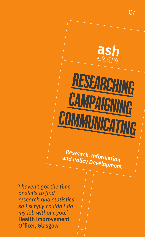

**Research, Information and Policy Development**

*'I haven't got the time or skills to find research and statistics so I simply couldn't do my job without you!'* Health Improvement Officer, Glasgow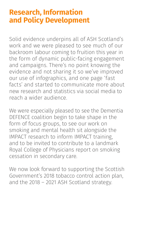#### **Research, Information and Policy Development**

Solid evidence underpins all of ASH Scotland's work and we were pleased to see much of our backroom labour coming to fruition this year in the form of dynamic public-facing engagement and campaigns. There's no point knowing the evidence and not sharing it so we've improved our use of infographics, and one page 'fast facts' and started to communicate more about new research and statistics via social media to reach a wider audience.

We were especially pleased to see the Dementia DEFENCE coalition begin to take shape in the form of focus groups, to see our work on smoking and mental health sit alongside the IMPACT research to inform IMPACT training, and to be invited to contribute to a landmark Royal College of Physicians report on smoking cessation in secondary care.

We now look forward to supporting the Scottish Government's 2018 tobacco control action plan, and the 2018 – 2021 ASH Scotland strategy.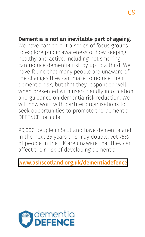#### **Dementia is not an inevitable part of ageing.**

We have carried out a series of focus groups to explore public awareness of how keeping healthy and active, including not smoking, can reduce dementia risk by up to a third. We have found that many people are unaware of the changes they can make to reduce their dementia risk, but that they responded well when presented with user-friendly information and guidance on dementia risk reduction. We will now work with partner organisations to seek opportunities to promote the Dementia DEFENCE formula.

90,000 people in Scotland have dementia and in the next 25 years this may double, yet 75% of people in the UK are unaware that they can affect their risk of developing dementia.

#### [www.ashscotland.org.uk/dementiadefence](https://www.ashscotland.org.uk/dementiadefence)

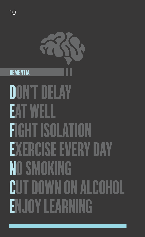10

# **DON'T DELAY** EAT WELL FIGHT ISOLATION EXERCISE EVERY DAY NO SMOKING CUT DOWN ON ALCOHOL ENJOY LEARNING **DEMENTIA**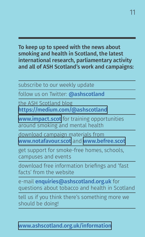To keep up to speed with the news about smoking and health in Scotland, the latest international research, parliamentary activity and all of ASH Scotland's work and campaigns:

subscribe to our weekly update

follow us on Twitter: **@ashscotland** 

the ASH Scotland blog <https://medium.com/@ashscotland>

[www.impact.scot](https://impact.scot/) for training opportunities around smoking and mental health

download campaign materials from [www.notafavour.scot](https://notafavour.scot/) and [www.befree.scot](https://www.befree.scot/)

get support for smoke-free homes, schools, campuses and events

download free information briefings and 'fast facts' from the website

e-mail enquiries@ashscotland.org.uk for questions about tobacco and health in Scotland

tell us if you think there's something more we should be doing!

#### [www.ashscotland.org.uk/information](https://www.ashscotland.org.uk/information)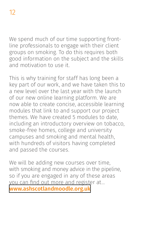We spend much of our time supporting frontline professionals to engage with their client groups on smoking. To do this requires both good information on the subject and the skills and motivation to use it.

This is why training for staff has long been a key part of our work, and we have taken this to a new level over the last year with the launch of our new online learning platform. We are now able to create concise, accessible learning modules that link to and support our project themes. We have created 5 modules to date, including an introductory overview on tobacco, smoke-free homes, college and university campuses and smoking and mental health, with hundreds of visitors having completed and passed the courses.

We will be adding new courses over time, with smoking and money advice in the pipeline, so if you are engaged in any of these areas you can find out more and register at… [www.ashscotlandmoodle.org.uk](https://www.ashscotlandmoodle.org.uk/)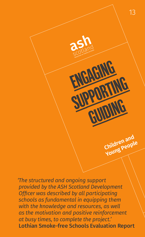*'The structured and ongoing support provided by the ASH Scotland Development Officer was described by all participating schools as fundamental in equipping them with the knowledge and resources, as well as the motivation and positive reinforcement at busy times, to complete the project.'* Lothian Smoke-free Schools Evaluation Report

ENGAGING

**SUPPORTING** 

guiding

**Children and Young People**

13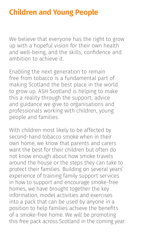#### **Children and Young People**

We believe that everyone has the right to grow up with a hopeful vision for their own health and well-being, and the skills, confidence and ambition to achieve it.

Enabling the next generation to remain free from tobacco is a fundamental part of making Scotland the best place in the world to grow up. ASH Scotland is helping to make this a reality through the support, advice and guidance we give to organisations and professionals working with children, young people and families.

With children most likely to be affected by second-hand tobacco smoke when in their own home, we know that parents and carers want the best for their children but often do not know enough about how smoke travels around the house or the steps they can take to protect their families. Building on several years' experience of training family support services in how to support and encourage smoke-free homes, we have brought together the key information, model activities and exercises into a pack that can be used by anyone in a position to help families achieve the benefits of a smoke-free home. We will be promoting this free pack across Scotland in the coming year.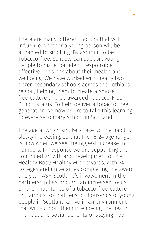There are many different factors that will influence whether a young person will be attracted to smoking. By aspiring to be Tobacco-free, schools can support young people to make confident, responsible, effective decisions about their health and wellbeing. We have worked with nearly two dozen secondary schools across the Lothians region, helping them to create a smokefree culture and be awarded Tobacco-Free School status. To help deliver a tobacco-free generation we now aspire to take this learning to every secondary school in Scotland.

The age at which smokers take up the habit is slowly increasing, so that the 16-24 age range is now when we see the biggest increase in numbers. In response we are supporting the continued growth and development of the Healthy Body Healthy Mind awards, with 24 colleges and universities completing the award this year. ASH Scotland's involvement in the partnership has brought an increased focus on the importance of a tobacco-free culture on campus, so that tens of thousands of young people in Scotland arrive in an environment that will support them in enjoying the health, financial and social benefits of staying free.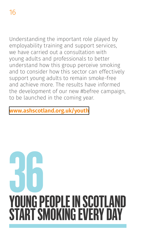Understanding the important role played by employability training and support services, we have carried out a consultation with young adults and professionals to better understand how this group perceive smoking and to consider how this sector can effectively support young adults to remain smoke-free and achieve more. The results have informed the development of our new #befree campaign, to be launched in the coming year.

#### **[www.ashscotland.org.uk/youth](https://www.ashscotland.org.uk/youth)**

# YOUNG PEOPLE IN SCOTLA **START SMOKING EVERY D 36**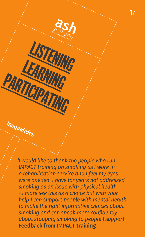*'I would like to thank the people who run IMPACT training on smoking as I work in a rehabilitation service and I feel my eyes were opened. I have for years not addressed smoking as an issue with physical health - I more see this as a choice but with your help I can support people with mental health to make the right informative choices about smoking and can speak more confidently about stopping smoking to people I support. '* Feedback from IMPACT training

listening

**LEARNING** 

PARTICIPATING

**Inequalities**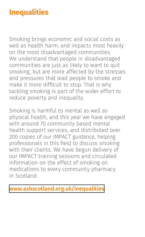#### **Inequalities**

Smoking brings economic and social costs as well as health harm, and impacts most heavily on the most disadvantaged communities. We understand that people in disadvantaged communities are just as likely to want to quit smoking, but are more affected by the stresses and pressures that lead people to smoke and make it more difficult to stop. That is why tackling smoking is part of the wider effort to reduce poverty and inequality.

Smoking is harmful to mental as well as physical health, and this year we have engaged with around 70 community based mental health support services, and distributed over 200 copies of our IMPACT guidance, helping professionals in this field to discuss smoking with their clients. We have begun delivery of our IMPACT training sessions and circulated information on the effect of smoking on medications to every community pharmacy in Scotland.

**[www.ashscotland.org.uk/inequalities](https://www.ashscotland.org.uk/inequalities)**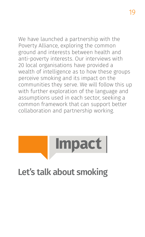We have launched a partnership with the Poverty Alliance, exploring the common ground and interests between health and anti-poverty interests. Our interviews with 20 local organisations have provided a wealth of intelligence as to how these groups perceive smoking and its impact on the communities they serve. We will follow this up with further exploration of the language and assumptions used in each sector, seeking a common framework that can support better collaboration and partnership working.



### Let's talk about smoking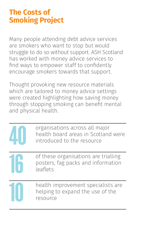#### **The Costs of Smoking Project**

Many people attending debt advice services are smokers who want to stop but would struggle to do so without support. ASH Scotland has worked with money advice services to find ways to empower staff to confidently encourage smokers towards that support.

Thought provoking new resource materials which are tailored to money advice settings were created highlighting how saving money through stopping smoking can benefit mental and physical health.

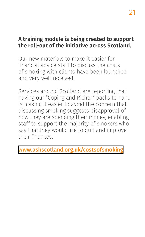#### **A training module is being created to support the roll-out of the initiative across Scotland.**

Our new materials to make it easier for financial advice staff to discuss the costs of smoking with clients have been launched and very well received.

Services around Scotland are reporting that having our "Coping and Richer" packs to hand is making it easier to avoid the concern that discussing smoking suggests disapproval of how they are spending their money, enabling staff to support the majority of smokers who say that they would like to quit and improve their finances.

[www.ashscotland.org.uk/costsofsmoking](https://www.ashscotland.org.uk/costsofsmoking)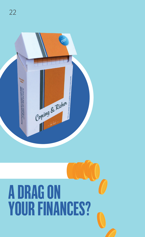

# A DRAG ON YOUR FINANCES?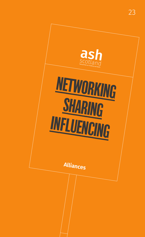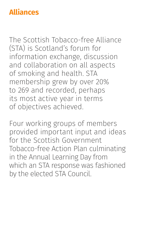#### **Alliances**

The Scottish Tobacco-free Alliance (STA) is Scotland's forum for information exchange, discussion and collaboration on all aspects of smoking and health. STA membership grew by over 20% to 269 and recorded, perhaps its most active year in terms of objectives achieved.

Four working groups of members provided important input and ideas for the Scottish Government Tobacco-free Action Plan culminating in the Annual Learning Day from which an STA response was fashioned by the elected STA Council.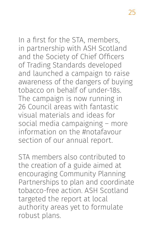In a first for the STA, members, in partnership with ASH Scotland and the Society of Chief Officers of Trading Standards developed and launched a campaign to raise awareness of the dangers of buying tobacco on behalf of under-18s. The campaign is now running in 26 Council areas with fantastic visual materials and ideas for social media campaigning – more information on the #notafavour section of our annual report.

STA members also contributed to the creation of a guide aimed at encouraging Community Planning Partnerships to plan and coordinate tobacco-free action. ASH Scotland targeted the report at local authority areas yet to formulate robust plans.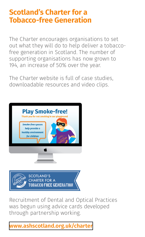#### **Scotland's Charter for a Tobacco-free Generation**

The Charter encourages organisations to set out what they will do to help deliver a tobaccofree generation in Scotland. The number of supporting organisations has now grown to 194, an increase of 50% over the year.

The Charter website is full of case studies, downloadable resources and video clips.



Recruitment of Dental and Optical Practices was begun using advice cards developed through partnership working.

#### **[www.ashscotland.org.uk/charter](https://www.ashscotland.org.uk/charter)**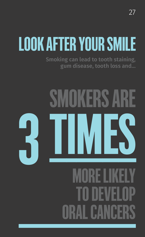## LOOK AFTER YOUR SMILE

**Smoking can lead to tooth staining, gum disease, tooth loss and…**

# OKERS AR 3 TIMES MORE LIKELY TO DEVELOP ORAL CANCERS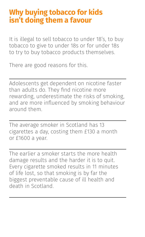#### **Why buying tobacco for kids isn't doing them a favour**

It is illegal to sell tobacco to under 18's, to buy tobacco to give to under 18s or for under 18s to try to buy tobacco products themselves.

There are good reasons for this.

Adolescents get dependent on nicotine faster than adults do. They find nicotine more rewarding, underestimate the risks of smoking, and are more influenced by smoking behaviour around them.

The average smoker in Scotland has 13 cigarettes a day, costing them £130 a month or £1600 a year.

The earlier a smoker starts the more health damage results and the harder it is to quit. Every cigarette smoked results in 11 minutes of life lost, so that smoking is by far the biggest preventable cause of ill health and death in Scotland.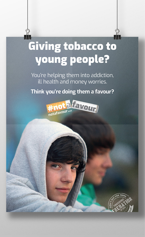## **Giving tobacco to** young people?

You're helping them into addiction, ill health and money worries.

Think you're doing them a favour?



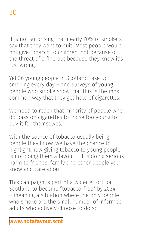It is not surprising that nearly 70% of smokers say that they want to quit. Most people would not give tobacco to children, not because of the threat of a fine but because they know it's just wrong.

Yet 36 young people in Scotland take up smoking every day – and surveys of young people who smoke show that this is the most common way that they get hold of cigarettes.

We need to reach that minority of people who do pass on cigarettes to those too young to buy it for themselves.

With the source of tobacco usually being people they know, we have the chance to highlight how giving tobacco to young people is not doing them a favour – it is doing serious harm to friends, family and other people you know and care about.

This campaign is part of a wider effort for Scotland to become "tobacco-free" by 2034 – meaning a situation where the only people who smoke are the small number of informed adults who actively choose to do so.

#### **[www.notafavour.scot](https://notafavour.scot/)**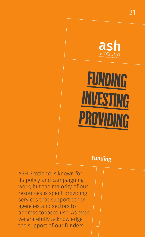

funding**INVESTING PROVIDING** 

#### **Funding**

ASH Scotland is known for its policy and campaigning work, but the majority of our resources is spent providing services that support other agencies and sectors to address tobacco use. As ever, we gratefully acknowledge the support of our funders.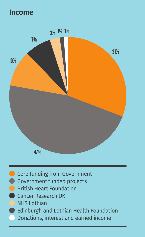#### **Income**



- Core funding from Government
- Government funded projects
- **C** British Heart Foundation
- **Cancer Research UK**
- NHS Lothian
- **Edinburgh and Lothian Health Foundation**
- Donations, interest and earned income e.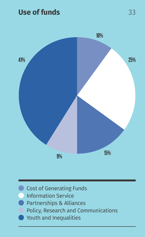#### **Use of funds**



- **Cost of Generating Funds** 
	- **Information Service**
	- **Partnerships & Alliances** 
		- Policy, Research and Communications
	- Youth and Inequalities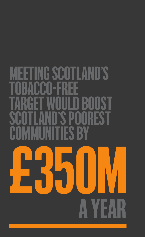## A YEAR £350M **G SCOTLAND'S BACCO-FREE** TARGET WOULD BOOST SCOTLAND'S POOREST COMMUNITIES BY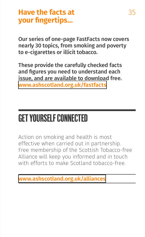#### **Have the facts at your fingertips…**

Our series of one-page FastFacts now covers nearly 30 topics, from smoking and poverty to e-cigarettes or illicit tobacco.

These provide the carefully checked facts and figures you need to understand each issue, and are available to download free. **[www.ashscotland.org.uk/fastfacts](https://www.ashscotland.org.uk/fastfacts)**

### GET YOURSELF CONNECTED

Action on smoking and health is most effective when carried out in partnership. Free membership of the Scottish Tobacco-free Alliance will keep you informed and in touch with efforts to make Scotland tobacco-free.

**[www.ashscotland.org.uk/alliances](https://www.ashscotland.org.uk/alliances)**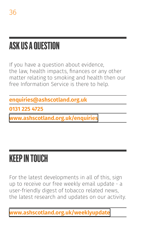### ASK US A QUESTION

If you have a question about evidence, the law, health impacts, finances or any other matter relating to smoking and health then our free Information Service is there to help.

**enquiries@ashscotland.org.uk**

**0131 225 4725**

**[www.ashscotland.org.uk/enquiries](https://www.ashscotland.org.uk/enquiries)**

### KEEP IN TOUCH

For the latest developments in all of this, sign up to receive our free weekly email update - a user-friendly digest of tobacco related news, the latest research and updates on our activity.

**[www.ashscotland.org.uk/weeklyupdate](https://www.ashscotland.org.uk/media/sign-up-for-bulletins/)**